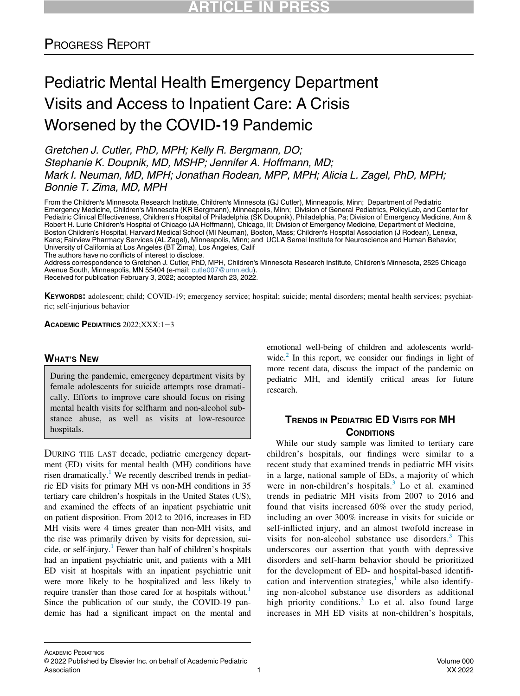# PROGRESS REPORT

# Pediatric Mental Health Emergency Department Visits and Access to Inpatient Care: A Crisis Worsened by the COVID-19 Pandemic

Gretchen J. Cutler, PhD, MPH; Kelly R. Bergmann, DO; Stephanie K. Doupnik, MD, MSHP; Jennifer A. Hoffmann, MD; Mark I. Neuman, MD, MPH; Jonathan Rodean, MPP, MPH; Alicia L. Zagel, PhD, MPH; Bonnie T. Zima, MD, MPH

From the Children's Minnesota Research Institute, Children's Minnesota (GJ Cutler), Minneapolis, Minn; Department of Pediatric Emergency Medicine, Children's Minnesota (KR Bergmann), Minneapolis, Minn; Division of General Pediatrics, PolicyLab, and Center for Pediatric Clinical Effectiveness, Children's Hospital of Philadelphia (SK Doupnik), Philadelphia, Pa; Division of Emergency Medicine, Ann & Robert H. Lurie Children's Hospital of Chicago (JA Hoffmann), Chicago, Ill; Division of Emergency Medicine, Department of Medicine, Boston Children's Hospital, Harvard Medical School (MI Neuman), Boston, Mass; Children's Hospital Association (J Rodean), Lenexa, Kans; Fairview Pharmacy Services (AL Zagel), Minneapolis, Minn; and UCLA Semel Institute for Neuroscience and Human Behavior, University of California at Los Angeles (BT Zima), Los Angeles, Calif The authors have no conflicts of interest to disclose.

Address correspondence to Gretchen J. Cutler, PhD, MPH, Children's Minnesota Research Institute, Children's Minnesota, 2525 Chicago Avenue South, Minneapolis, MN 55404 (e-mail: [cutle007@umn.edu\)](mailto:cutle007@umn.edu). Received for publication February 3, 2022; accepted March 23, 2022.

KEYWORDS: adolescent; child; COVID-19; emergency service; hospital; suicide; mental disorders; mental health services; psychiatric; self-injurious behavior

ACADEMIC PEDIATRICS 2022;XXX:1−3

#### WHAT'S NEW

During the pandemic, emergency department visits by female adolescents for suicide attempts rose dramatically. Efforts to improve care should focus on rising mental health visits for selfharm and non-alcohol substance abuse, as well as visits at low-resource hospitals.

DURING THE LAST decade, pediatric emergency department (ED) visits for mental health (MH) conditions have risen dramatically.<sup>1</sup> We recently described trends in pediatric ED visits for primary MH vs non-MH conditions in 35 tertiary care children's hospitals in the United States (US), and examined the effects of an inpatient psychiatric unit on patient disposition. From 2012 to 2016, increases in ED MH visits were 4 times greater than non-MH visits, and the rise was primarily driven by visits for depression, suicide, or self-injury.<sup>1</sup> Fewer than half of children's hospitals had an inpatient psychiatric unit, and patients with a MH ED visit at hospitals with an inpatient psychiatric unit were more likely to be hospitalized and less likely to require transfer than those cared for at hospitals without.<sup>[1](#page-1-0)</sup> Since the publication of our study, the COVID-19 pandemic has had a significant impact on the mental and

emotional well-being of children and adolescents worldwide. $<sup>2</sup>$  In this report, we consider our findings in light of</sup> more recent data, discuss the impact of the pandemic on pediatric MH, and identify critical areas for future research.

### TRENDS IN PEDIATRIC ED VISITS FOR MH **CONDITIONS**

While our study sample was limited to tertiary care children's hospitals, our findings were similar to a recent study that examined trends in pediatric MH visits in a large, national sample of EDs, a majority of which were in non-children's hospitals. $3$  Lo et al. examined trends in pediatric MH visits from 2007 to 2016 and found that visits increased 60% over the study period, including an over 300% increase in visits for suicide or self-inflicted injury, and an almost twofold increase in visits for non-alcohol substance use disorders. $3$  This underscores our assertion that youth with depressive disorders and self-harm behavior should be prioritized for the development of ED- and hospital-based identifi-cation and intervention strategies,<sup>[1](#page-1-0)</sup> while also identifying non-alcohol substance use disorders as additional high priority conditions. $3$  Lo et al. also found large increases in MH ED visits at non-children's hospitals,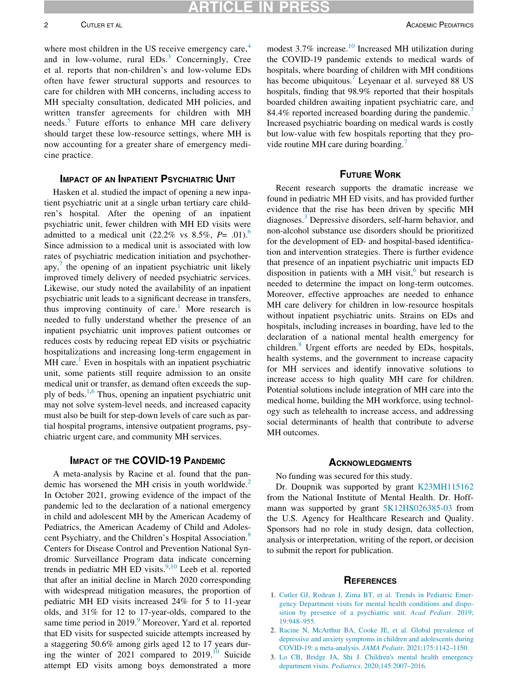RTICLE IN

where most children in the US receive emergency care,<sup>[4](#page-2-0)</sup> and in low-volume, rural  $EDs<sup>3</sup>$  $EDs<sup>3</sup>$  $EDs<sup>3</sup>$  Concerningly, Cree et al. reports that non-children's and low-volume EDs often have fewer structural supports and resources to care for children with MH concerns, including access to MH specialty consultation, dedicated MH policies, and written transfer agreements for children with MH needs.<sup>[5](#page-2-1)</sup> Future efforts to enhance MH care delivery should target these low-resource settings, where MH is now accounting for a greater share of emergency medicine practice.

#### IMPACT OF AN INPATIENT PSYCHIATRIC UNIT

Hasken et al. studied the impact of opening a new inpatient psychiatric unit at a single urban tertiary care children's hospital. After the opening of an inpatient psychiatric unit, fewer children with MH ED visits were admitted to a medical unit (22.2% vs 8.5%,  $P = .01$ ).<sup>[6](#page-2-2)</sup> Since admission to a medical unit is associated with low rates of psychiatric medication initiation and psychotherapy, $\frac{7}{7}$  $\frac{7}{7}$  $\frac{7}{7}$  the opening of an inpatient psychiatric unit likely improved timely delivery of needed psychiatric services. Likewise, our study noted the availability of an inpatient psychiatric unit leads to a significant decrease in transfers, thus improving continuity of care.<sup>[1](#page-1-0)</sup> More research is needed to fully understand whether the presence of an inpatient psychiatric unit improves patient outcomes or reduces costs by reducing repeat ED visits or psychiatric hospitalizations and increasing long-term engagement in  $MH$  care.<sup>[1](#page-1-0)</sup> Even in hospitals with an inpatient psychiatric unit, some patients still require admission to an onsite medical unit or transfer, as demand often exceeds the supply of beds.[1](#page-1-0),[6](#page-2-2) Thus, opening an inpatient psychiatric unit may not solve system-level needs, and increased capacity must also be built for step-down levels of care such as partial hospital programs, intensive outpatient programs, psychiatric urgent care, and community MH services.

#### IMPACT OF THE COVID-19 PANDEMIC

<span id="page-1-3"></span><span id="page-1-2"></span><span id="page-1-1"></span><span id="page-1-0"></span>A meta-analysis by Racine et al. found that the pan-demic has worsened the MH crisis in youth worldwide.<sup>[2](#page-1-1)</sup> In October 2021, growing evidence of the impact of the pandemic led to the declaration of a national emergency in child and adolescent MH by the American Academy of Pediatrics, the American Academy of Child and Adoles-cent Psychiatry, and the Children's Hospital Association.<sup>[8](#page-2-4)</sup> Centers for Disease Control and Prevention National Syndromic Surveillance Program data indicate concerning trends in pediatric MH ED visits. $9,10$  $9,10$  Leeb et al. reported that after an initial decline in March 2020 corresponding with widespread mitigation measures, the proportion of pediatric MH ED visits increased 24% for 5 to 11-year olds, and 31% for 12 to 17-year-olds, compared to the same time period in 201[9](#page-2-5).<sup>9</sup> Moreover, Yard et al. reported that ED visits for suspected suicide attempts increased by a staggering 50.6% among girls aged 12 to 17 years during the winter of 2021 compared to  $2019$ .<sup>[10](#page-2-6)</sup> Suicide attempt ED visits among boys demonstrated a more

modest 3.7% increase.<sup>[10](#page-2-6)</sup> Increased MH utilization during the COVID-19 pandemic extends to medical wards of hospitals, where boarding of children with MH conditions has become ubiquitous. Leyenaar et al. surveyed 88 US hospitals, finding that 98.9% reported that their hospitals boarded children awaiting inpatient psychiatric care, and 84.4% reported increased boarding during the pandemic.<sup>[7](#page-2-3)</sup> Increased psychiatric boarding on medical wards is costly but low-value with few hospitals reporting that they pro-vide routine MH care during boarding.<sup>[7](#page-2-3)</sup>

#### FUTURE WORK

Recent research supports the dramatic increase we found in pediatric MH ED visits, and has provided further evidence that the rise has been driven by specific MH diagnoses.<sup>[3](#page-1-2)</sup> Depressive disorders, self-harm behavior, and non-alcohol substance use disorders should be prioritized for the development of ED- and hospital-based identification and intervention strategies. There is further evidence that presence of an inpatient psychiatric unit impacts ED disposition in patients with a MH visit, $<sup>6</sup>$  $<sup>6</sup>$  $<sup>6</sup>$  but research is</sup> needed to determine the impact on long-term outcomes. Moreover, effective approaches are needed to enhance MH care delivery for children in low-resource hospitals without inpatient psychiatric units. Strains on EDs and hospitals, including increases in boarding, have led to the declaration of a national mental health emergency for children. $\delta$  Urgent efforts are needed by EDs, hospitals, health systems, and the government to increase capacity for MH services and identify innovative solutions to increase access to high quality MH care for children. Potential solutions include integration of MH care into the medical home, building the MH workforce, using technology such as telehealth to increase access, and addressing social determinants of health that contribute to adverse MH outcomes.

#### **ACKNOWLEDGMENTS**

No funding was secured for this study.

Dr. Doupnik was supported by grant [K23MH115162](#page-1-3) from the National Institute of Mental Health. Dr. Hoffmann was supported by grant [5K12HS026385-03](#page-1-3) from the U.S. Agency for Healthcare Research and Quality. Sponsors had no role in study design, data collection, analysis or interpretation, writing of the report, or decision to submit the report for publication.

#### **REFERENCES**

- 1. [Cutler GJ, Rodean J, Zima BT, et al. Trends in Pediatric Emer](http://refhub.elsevier.com/S1876-2859(22)00182-6/sbref0001)[gency Department visits for mental health conditions and dispo](http://refhub.elsevier.com/S1876-2859(22)00182-6/sbref0001)[sition by presence of a psychiatric unit.](http://refhub.elsevier.com/S1876-2859(22)00182-6/sbref0001) Acad Pediatr. 2019; [19:948–955.](http://refhub.elsevier.com/S1876-2859(22)00182-6/sbref0001)
- 2. [Racine N, McArthur BA, Cooke JE, et al. Global prevalence of](http://refhub.elsevier.com/S1876-2859(22)00182-6/sbref0002) [depressive and anxiety symptoms in children and adolescents during](http://refhub.elsevier.com/S1876-2859(22)00182-6/sbref0002) [COVID-19: a meta-analysis.](http://refhub.elsevier.com/S1876-2859(22)00182-6/sbref0002) JAMA Pediatr. 2021;175:1142–1150.
- 3. [Lo CB, Bridge JA, Shi J. Children](http://refhub.elsevier.com/S1876-2859(22)00182-6/sbref0003)'s mental health emergency department visits. Pediatrics[. 2020;145:2007–2016.](http://refhub.elsevier.com/S1876-2859(22)00182-6/sbref0003)